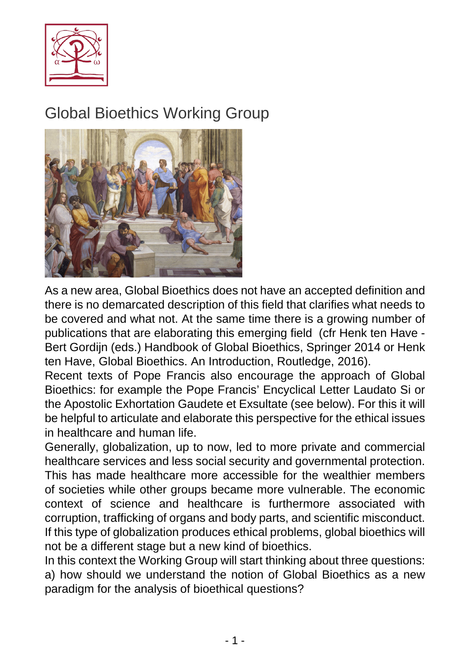

## Global Bioethics Working Group



As a new area, Global Bioethics does not have an accepted definition and there is no demarcated description of this field that clarifies what needs to be covered and what not. At the same time there is a growing number of publications that are elaborating this emerging field (cfr Henk ten Have - Bert Gordijn (eds.) Handbook of Global Bioethics, Springer 2014 or Henk ten Have, Global Bioethics. An Introduction, Routledge, 2016).

Recent texts of Pope Francis also encourage the approach of Global Bioethics: for example the Pope Francis' Encyclical Letter Laudato Si or the Apostolic Exhortation Gaudete et Exsultate (see below). For this it will be helpful to articulate and elaborate this perspective for the ethical issues in healthcare and human life.

Generally, globalization, up to now, led to more private and commercial healthcare services and less social security and governmental protection. This has made healthcare more accessible for the wealthier members of societies while other groups became more vulnerable. The economic context of science and healthcare is furthermore associated with corruption, trafficking of organs and body parts, and scientific misconduct. If this type of globalization produces ethical problems, global bioethics will not be a different stage but a new kind of bioethics.

In this context the Working Group will start thinking about three questions: a) how should we understand the notion of Global Bioethics as a new paradigm for the analysis of bioethical questions?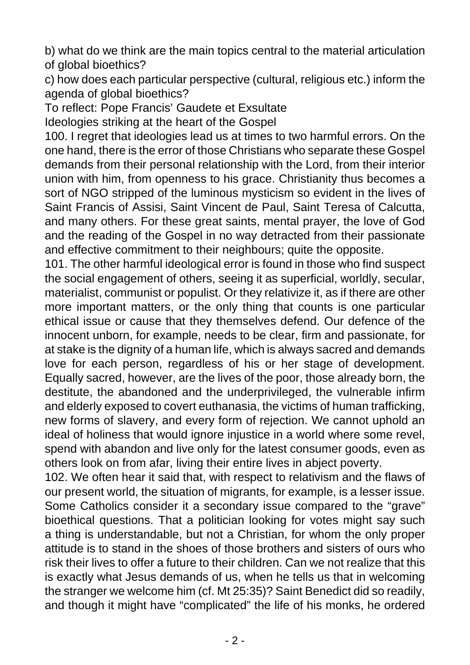b) what do we think are the main topics central to the material articulation of global bioethics?

c) how does each particular perspective (cultural, religious etc.) inform the agenda of global bioethics?

To reflect: Pope Francis' Gaudete et Exsultate

Ideologies striking at the heart of the Gospel

100. I regret that ideologies lead us at times to two harmful errors. On the one hand, there is the error of those Christians who separate these Gospel demands from their personal relationship with the Lord, from their interior union with him, from openness to his grace. Christianity thus becomes a sort of NGO stripped of the luminous mysticism so evident in the lives of Saint Francis of Assisi, Saint Vincent de Paul, Saint Teresa of Calcutta, and many others. For these great saints, mental prayer, the love of God and the reading of the Gospel in no way detracted from their passionate and effective commitment to their neighbours; quite the opposite.

101. The other harmful ideological error is found in those who find suspect the social engagement of others, seeing it as superficial, worldly, secular, materialist, communist or populist. Or they relativize it, as if there are other more important matters, or the only thing that counts is one particular ethical issue or cause that they themselves defend. Our defence of the innocent unborn, for example, needs to be clear, firm and passionate, for at stake is the dignity of a human life, which is always sacred and demands love for each person, regardless of his or her stage of development. Equally sacred, however, are the lives of the poor, those already born, the destitute, the abandoned and the underprivileged, the vulnerable infirm and elderly exposed to covert euthanasia, the victims of human trafficking, new forms of slavery, and every form of rejection. We cannot uphold an ideal of holiness that would ignore injustice in a world where some revel, spend with abandon and live only for the latest consumer goods, even as others look on from afar, living their entire lives in abject poverty.

102. We often hear it said that, with respect to relativism and the flaws of our present world, the situation of migrants, for example, is a lesser issue. Some Catholics consider it a secondary issue compared to the "grave" bioethical questions. That a politician looking for votes might say such a thing is understandable, but not a Christian, for whom the only proper attitude is to stand in the shoes of those brothers and sisters of ours who risk their lives to offer a future to their children. Can we not realize that this is exactly what Jesus demands of us, when he tells us that in welcoming the stranger we welcome him (cf. Mt 25:35)? Saint Benedict did so readily, and though it might have "complicated" the life of his monks, he ordered